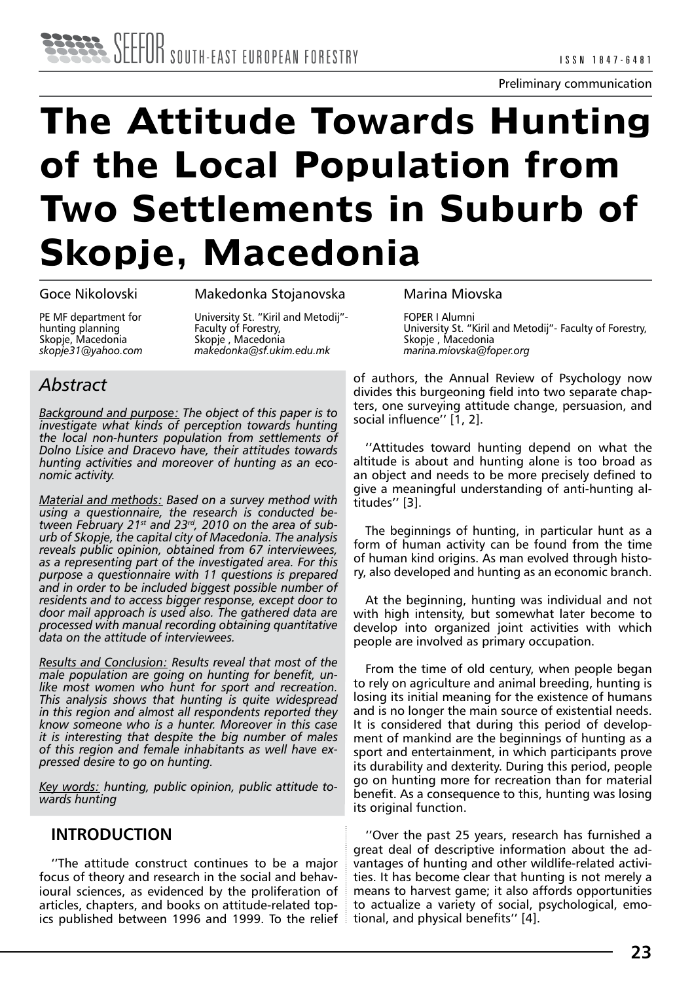# **The Attitude Towards Hunting of the Local Population from Two Settlements in Suburb of Skopje, Macedonia**

Goce Nikolovski

Makedonka Stojanovska

PE MF department for hunting planning Skopje, Macedonia *skopje31@yahoo.com* University St. "Kiril and Metodij"- Faculty of Forestry, Skopje , Macedonia *makedonka@sf.ukim.edu.mk* 

# *Abstract*

*Background and purpose: The object of this paper is to investigate what kinds of perception towards hunting the local non-hunters population from settlements of Dolno Lisice and Dracevo have, their attitudes towards hunting activities and moreover of hunting as an economic activity.*

*Material and methods: Based on a survey method with using a questionnaire, the research is conducted between February 21st and 23rd, 2010 on the area of sub urb of Skopje, the capital city of Macedonia. The analysis reveals public opinion, obtained from 67 interviewees, as a representing part of the investigated area. For this purpose a questionnaire with 11 questions is prepared and in order to be included biggest possible number of residents and to access bigger response, except door to door mail approach is used also. The gathered data are processed with manual recording obtaining quantitative data on the attitude of interviewees.*

*Results and Conclusion: Results reveal that most of the male population are going on hunting for benefit, unlike most women who hunt for sport and recreation. This analysis shows that hunting is quite widespread in this region and almost all respondents reported they know someone who is a hunter. Moreover in this case it is interesting that despite the big number of males of this region and female inhabitants as well have expressed desire to go on hunting.*

*Key words: hunting, public opinion, public attitude towards hunting*

## **INTRODUCTION**

''The attitude construct continues to be a major focus of theory and research in the social and behavioural sciences, as evidenced by the proliferation of articles, chapters, and books on attitude-related topics published between 1996 and 1999. To the relief Marina Miovska

FOPER I Alumni University St. "Kiril and Metodij"- Faculty of Forestry, Skopje , Macedonia *marina.miovska@foper.org*

of authors, the Annual Review of Psychology now divides this burgeoning field into two separate chapters, one surveying attitude change, persuasion, and social influence'' [1, 2].

''Attitudes toward hunting depend on what the altitude is about and hunting alone is too broad as an object and needs to be more precisely defined to give a meaningful understanding of anti-hunting altitudes'' [3].

The beginnings of hunting, in particular hunt as a form of human activity can be found from the time of human kind origins. As man evolved through history, also developed and hunting as an economic branch.

At the beginning, hunting was individual and not with high intensity, but somewhat later become to develop into organized joint activities with which people are involved as primary occupation.

From the time of old century, when people began to rely on agriculture and animal breeding, hunting is losing its initial meaning for the existence of humans and is no longer the main source of existential needs. It is considered that during this period of development of mankind are the beginnings of hunting as a sport and entertainment, in which participants prove its durability and dexterity. During this period, people go on hunting more for recreation than for material benefit. As a consequence to this, hunting was losing its original function.

''Over the past 25 years, research has furnished a great deal of descriptive information about the advantages of hunting and other wildlife-related activities. It has become clear that hunting is not merely a means to harvest game; it also affords opportunities to actualize a variety of social, psychological, emotional, and physical benefits'' [4].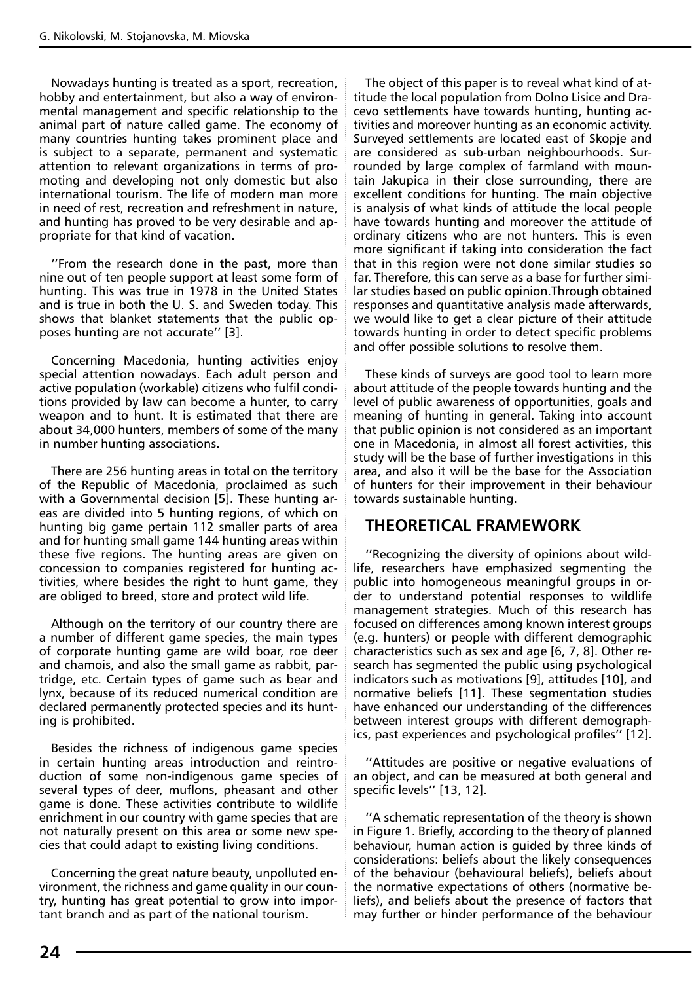Nowadays hunting is treated as a sport, recreation, hobby and entertainment, but also a way of environmental management and specific relationship to the animal part of nature called game. The economy of many countries hunting takes prominent place and is subject to a separate, permanent and systematic attention to relevant organizations in terms of promoting and developing not only domestic but also international tourism. The life of modern man more in need of rest, recreation and refreshment in nature, and hunting has proved to be very desirable and appropriate for that kind of vacation.

''From the research done in the past, more than nine out of ten people support at least some form of hunting. This was true in 1978 in the United States and is true in both the U. S. and Sweden today. This shows that blanket statements that the public opposes hunting are not accurate'' [3].

Concerning Macedonia, hunting activities enjoy special attention nowadays. Each adult person and active population (workable) citizens who fulfil conditions provided by law can become a hunter, to carry weapon and to hunt. It is estimated that there are about 34,000 hunters, members of some of the many in number hunting associations.

There are 256 hunting areas in total on the territory of the Republic of Macedonia, proclaimed as such with a Governmental decision [5]. These hunting areas are divided into 5 hunting regions, of which on hunting big game pertain 112 smaller parts of area and for hunting small game 144 hunting areas within these five regions. The hunting areas are given on concession to companies registered for hunting activities, where besides the right to hunt game, they are obliged to breed, store and protect wild life.

Although on the territory of our country there are a number of different game species, the main types of corporate hunting game are wild boar, roe deer and chamois, and also the small game as rabbit, partridge, etc. Certain types of game such as bear and lynx, because of its reduced numerical condition are declared permanently protected species and its hunting is prohibited.

Besides the richness of indigenous game species in certain hunting areas introduction and reintroduction of some non-indigenous game species of several types of deer, muflons, pheasant and other game is done. These activities contribute to wildlife enrichment in our country with game species that are not naturally present on this area or some new species that could adapt to existing living conditions.

Concerning the great nature beauty, unpolluted environment, the richness and game quality in our country, hunting has great potential to grow into important branch and as part of the national tourism.

The object of this paper is to reveal what kind of attitude the local population from Dolno Lisice and Dracevo settlements have towards hunting, hunting activities and moreover hunting as an economic activity. Surveyed settlements are located east of Skopje and are considered as sub-urban neighbourhoods. Surrounded by large complex of farmland with mountain Jakupica in their close surrounding, there are excellent conditions for hunting. The main objective is analysis of what kinds of attitude the local people have towards hunting and moreover the attitude of ordinary citizens who are not hunters. This is even more significant if taking into consideration the fact that in this region were not done similar studies so far. Therefore, this can serve as a base for further similar studies based on public opinion.Through obtained responses and quantitative analysis made afterwards, we would like to get a clear picture of their attitude towards hunting in order to detect specific problems and offer possible solutions to resolve them.

These kinds of surveys are good tool to learn more about attitude of the people towards hunting and the level of public awareness of opportunities, goals and meaning of hunting in general. Taking into account that public opinion is not considered as an important one in Macedonia, in almost all forest activities, this study will be the base of further investigations in this area, and also it will be the base for the Association of hunters for their improvement in their behaviour towards sustainable hunting.

## **THEORETICAL FRAMEWORK**

''Recognizing the diversity of opinions about wildlife, researchers have emphasized segmenting the public into homogeneous meaningful groups in order to understand potential responses to wildlife management strategies. Much of this research has focused on differences among known interest groups (e.g. hunters) or people with different demographic characteristics such as sex and age [6, 7, 8]. Other research has segmented the public using psychological indicators such as motivations [9], attitudes [10], and normative beliefs [11]. These segmentation studies have enhanced our understanding of the differences between interest groups with different demographics, past experiences and psychological profiles'' [12].

''Attitudes are positive or negative evaluations of an object, and can be measured at both general and specific levels'' [13, 12].

''A schematic representation of the theory is shown in Figure 1. Briefly, according to the theory of planned behaviour, human action is guided by three kinds of considerations: beliefs about the likely consequences of the behaviour (behavioural beliefs), beliefs about the normative expectations of others (normative beliefs), and beliefs about the presence of factors that may further or hinder performance of the behaviour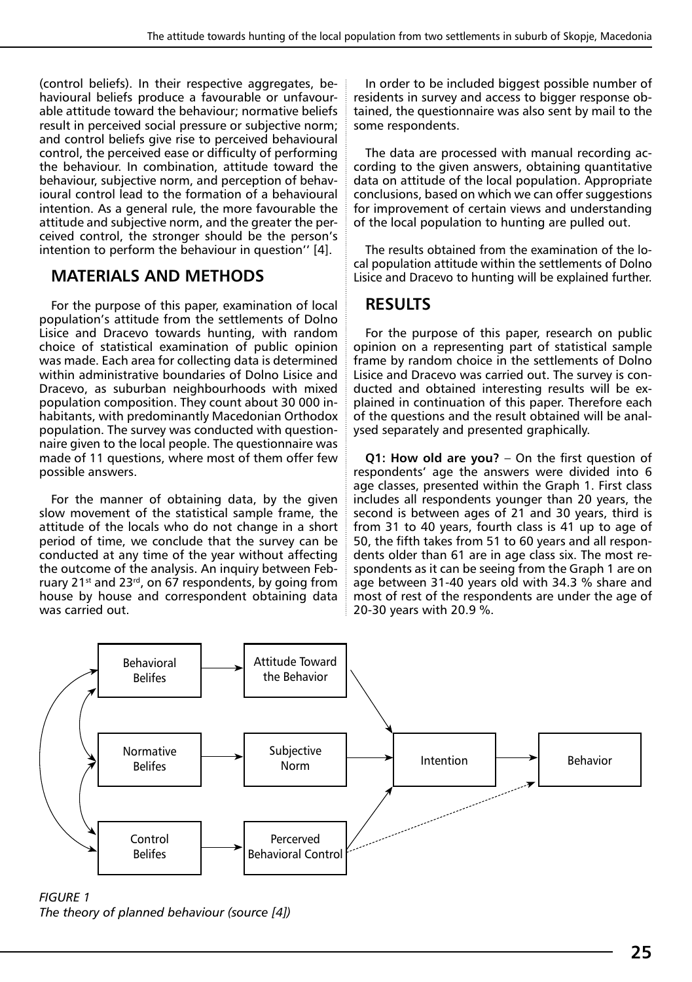(control beliefs). In their respective aggregates, behavioural beliefs produce a favourable or unfavourable attitude toward the behaviour; normative beliefs result in perceived social pressure or subjective norm; and control beliefs give rise to perceived behavioural control, the perceived ease or difficulty of performing the behaviour. In combination, attitude toward the behaviour, subjective norm, and perception of behavioural control lead to the formation of a behavioural intention. As a general rule, the more favourable the attitude and subjective norm, and the greater the perceived control, the stronger should be the person's intention to perform the behaviour in question'' [4].

## **MATERIALS AND METHODS**

For the purpose of this paper, examination of local population's attitude from the settlements of Dolno Lisice and Dracevo towards hunting, with random choice of statistical examination of public opinion was made. Each area for collecting data is determined within administrative boundaries of Dolno Lisice and Dracevo, as suburban neighbourhoods with mixed population composition. They count about 30 000 inhabitants, with predominantly Macedonian Orthodox population. The survey was conducted with questionnaire given to the local people. The questionnaire was made of 11 questions, where most of them offer few possible answers.

For the manner of obtaining data, by the given slow movement of the statistical sample frame, the attitude of the locals who do not change in a short period of time, we conclude that the survey can be conducted at any time of the year without affecting the outcome of the analysis. An inquiry between February 21 $st$  and 23 $rd$ , on 67 respondents, by going from house by house and correspondent obtaining data was carried out.

In order to be included biggest possible number of residents in survey and access to bigger response obtained, the questionnaire was also sent by mail to the some respondents.

The data are processed with manual recording according to the given answers, obtaining quantitative data on attitude of the local population. Appropriate conclusions, based on which we can offer suggestions for improvement of certain views and understanding of the local population to hunting are pulled out.

The results obtained from the examination of the local population attitude within the settlements of Dolno Lisice and Dracevo to hunting will be explained further.

## **RESULTS**

For the purpose of this paper, research on public opinion on a representing part of statistical sample frame by random choice in the settlements of Dolno Lisice and Dracevo was carried out. The survey is conducted and obtained interesting results will be explained in continuation of this paper. Therefore each of the questions and the result obtained will be analysed separately and presented graphically.

**Q1: How old are you?** – On the first question of respondents' age the answers were divided into 6 age classes, presented within the Graph 1. First class includes all respondents younger than 20 years, the second is between ages of 21 and 30 years, third is from 31 to 40 years, fourth class is 41 up to age of 50, the fifth takes from 51 to 60 years and all respondents older than 61 are in age class six. The most respondents as it can be seeing from the Graph 1 are on age between 31-40 years old with 34.3 % share and most of rest of the respondents are under the age of 20-30 years with 20.9 %.



*FIGURE 1 The theory of planned behaviour (source [4])*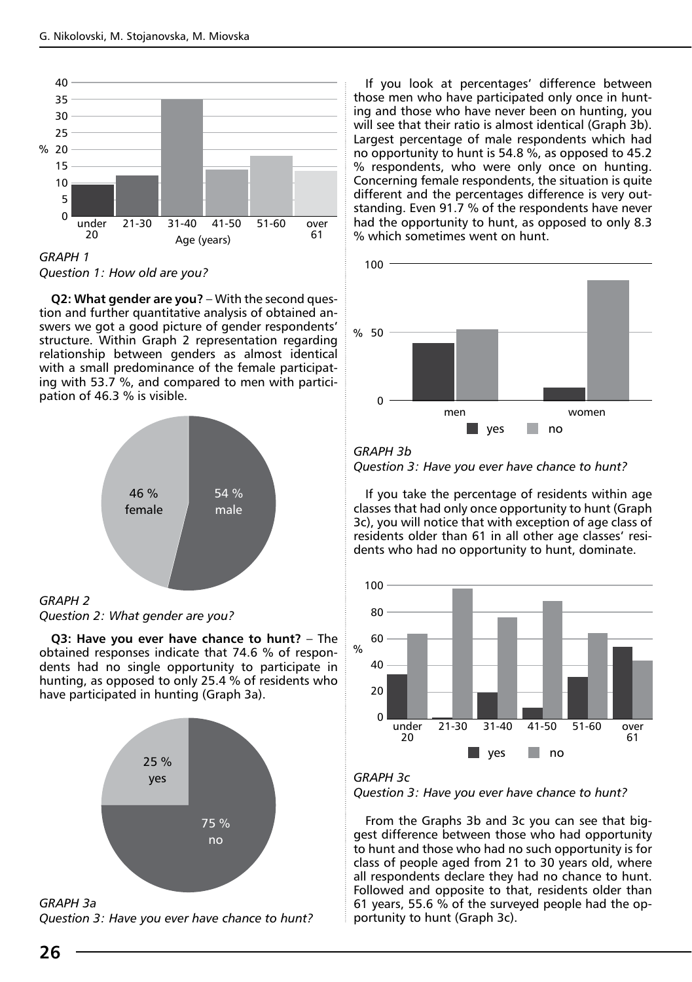

*Question 1: How old are you?*

**Q2: What gender are you?** – With the second question and further quantitative analysis of obtained answers we got a good picture of gender respondents' structure. Within Graph 2 representation regarding relationship between genders as almost identical with a small predominance of the female participating with 53.7 %, and compared to men with participation of 46.3 % is visible.



*Question 2: What gender are you?*

**Q3: Have you ever have chance to hunt?** – The obtained responses indicate that 74.6 % of respondents had no single opportunity to participate in hunting, as opposed to only 25.4 % of residents who have participated in hunting (Graph 3a).



*GRAPH 3a* 

*Question 3: Have you ever have chance to hunt?*

If you look at percentages' difference between those men who have participated only once in hunting and those who have never been on hunting, you will see that their ratio is almost identical (Graph 3b). Largest percentage of male respondents which had no opportunity to hunt is 54.8 %, as opposed to 45.2 % respondents, who were only once on hunting. Concerning female respondents, the situation is quite different and the percentages difference is very outstanding. Even 91.7 % of the respondents have never had the opportunity to hunt, as opposed to only 8.3 % which sometimes went on hunt.



*GRAPH 3b Question 3: Have you ever have chance to hunt?*

If you take the percentage of residents within age classes that had only once opportunity to hunt (Graph 3c), you will notice that with exception of age class of residents older than 61 in all other age classes' residents who had no opportunity to hunt, dominate.





From the Graphs 3b and 3c you can see that biggest difference between those who had opportunity to hunt and those who had no such opportunity is for class of people aged from 21 to 30 years old, where all respondents declare they had no chance to hunt. Followed and opposite to that, residents older than 61 years, 55.6 % of the surveyed people had the opportunity to hunt (Graph 3c).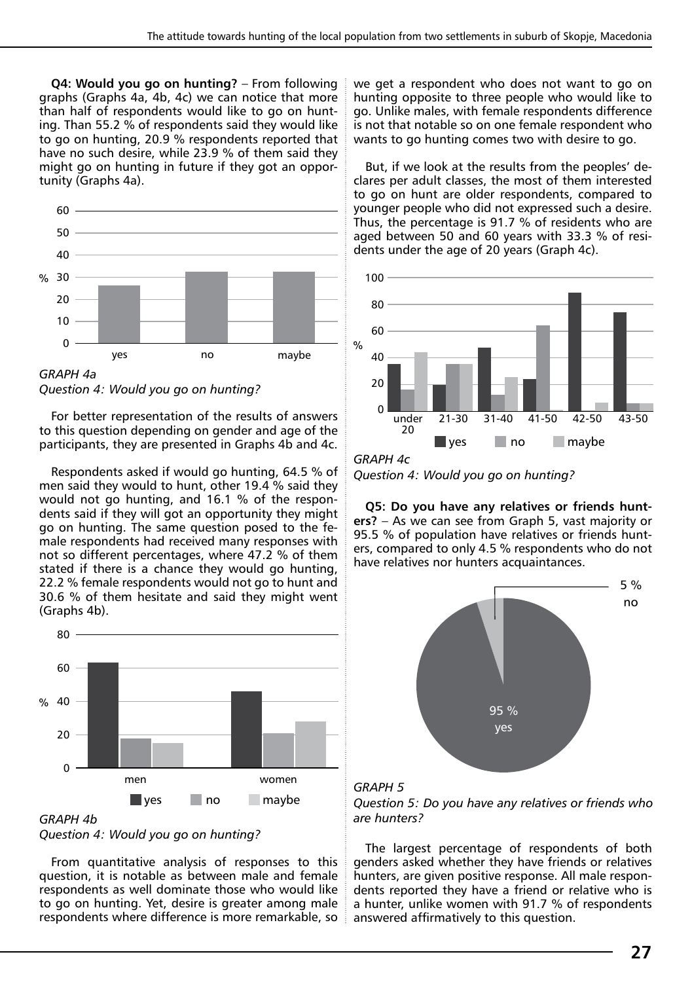**Q4: Would you go on hunting?** – From following graphs (Graphs 4a, 4b, 4c) we can notice that more than half of respondents would like to go on hunting. Than 55.2 % of respondents said they would like to go on hunting, 20.9 % respondents reported that have no such desire, while 23.9 % of them said they might go on hunting in future if they got an opportunity (Graphs 4a).



*Question 4: Would you go on hunting?*

For better representation of the results of answers to this question depending on gender and age of the participants, they are presented in Graphs 4b and 4c.

Respondents asked if would go hunting, 64.5 % of men said they would to hunt, other 19.4 % said they would not go hunting, and 16.1 % of the respondents said if they will got an opportunity they might go on hunting. The same question posed to the female respondents had received many responses with not so different percentages, where 47.2 % of them stated if there is a chance they would go hunting, 22.2 % female respondents would not go to hunt and 30.6 % of them hesitate and said they might went (Graphs 4b).



*GRAPH 4b Question 4: Would you go on hunting?*

From quantitative analysis of responses to this question, it is notable as between male and female respondents as well dominate those who would like to go on hunting. Yet, desire is greater among male respondents where difference is more remarkable, so we get a respondent who does not want to go on hunting opposite to three people who would like to go. Unlike males, with female respondents difference is not that notable so on one female respondent who wants to go hunting comes two with desire to go.

But, if we look at the results from the peoples' declares per adult classes, the most of them interested to go on hunt are older respondents, compared to younger people who did not expressed such a desire. Thus, the percentage is 91.7 % of residents who are aged between 50 and 60 years with 33.3 % of residents under the age of 20 years (Graph 4c).



*GRAPH 4c*

*Question 4: Would you go on hunting?*

**Q5: Do you have any relatives or friends hunters?** – As we can see from Graph 5, vast majority or 95.5 % of population have relatives or friends hunters, compared to only 4.5 % respondents who do not have relatives nor hunters acquaintances.







The largest percentage of respondents of both genders asked whether they have friends or relatives hunters, are given positive response. All male respondents reported they have a friend or relative who is a hunter, unlike women with 91.7 % of respondents answered affirmatively to this question.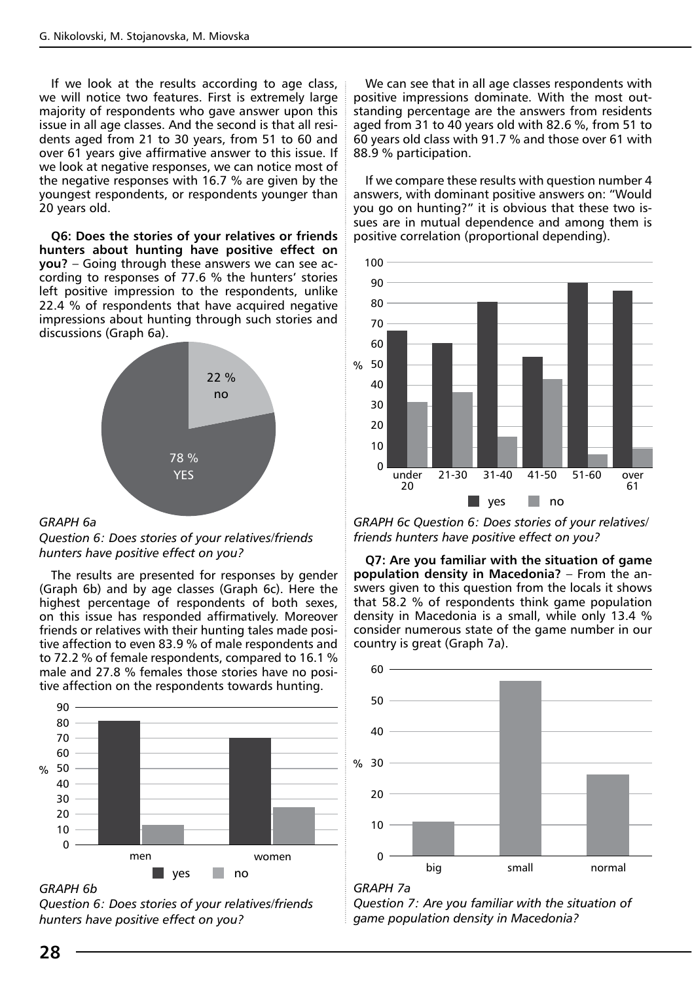If we look at the results according to age class, we will notice two features. First is extremely large majority of respondents who gave answer upon this issue in all age classes. And the second is that all residents aged from 21 to 30 years, from 51 to 60 and over 61 years give affirmative answer to this issue. If we look at negative responses, we can notice most of the negative responses with 16.7 % are given by the youngest respondents, or respondents younger than 20 years old.

**Q6: Does the stories of your relatives or friends hunters about hunting have positive effect on you?** – Going through these answers we can see according to responses of 77.6 % the hunters' stories left positive impression to the respondents, unlike 22.4 % of respondents that have acquired negative impressions about hunting through such stories and discussions (Graph 6a).



#### *GRAPH 6a*

*Question 6: Does stories of your relatives/friends hunters have positive effect on you?*

The results are presented for responses by gender (Graph 6b) and by age classes (Graph 6c). Here the highest percentage of respondents of both sexes, on this issue has responded affirmatively. Moreover friends or relatives with their hunting tales made positive affection to even 83.9 % of male respondents and to 72.2 % of female respondents, compared to 16.1 % male and 27.8 % females those stories have no positive affection on the respondents towards hunting.



*GRAPH 6b* 

*Question 6: Does stories of your relatives/friends hunters have positive effect on you?*

We can see that in all age classes respondents with positive impressions dominate. With the most outstanding percentage are the answers from residents aged from 31 to 40 years old with 82.6 %, from 51 to 60 years old class with 91.7 % and those over 61 with 88.9 % participation.

If we compare these results with question number 4 answers, with dominant positive answers on: "Would you go on hunting?" it is obvious that these two issues are in mutual dependence and among them is positive correlation (proportional depending).



*GRAPH 6c Question 6: Does stories of your relatives/ friends hunters have positive effect on you?*

**Q7: Are you familiar with the situation of game population density in Macedonia?** – From the answers given to this question from the locals it shows that 58.2 % of respondents think game population density in Macedonia is a small, while only 13.4 % consider numerous state of the game number in our country is great (Graph 7a).



## *GRAPH 7a*

*Question 7: Are you familiar with the situation of game population density in Macedonia?*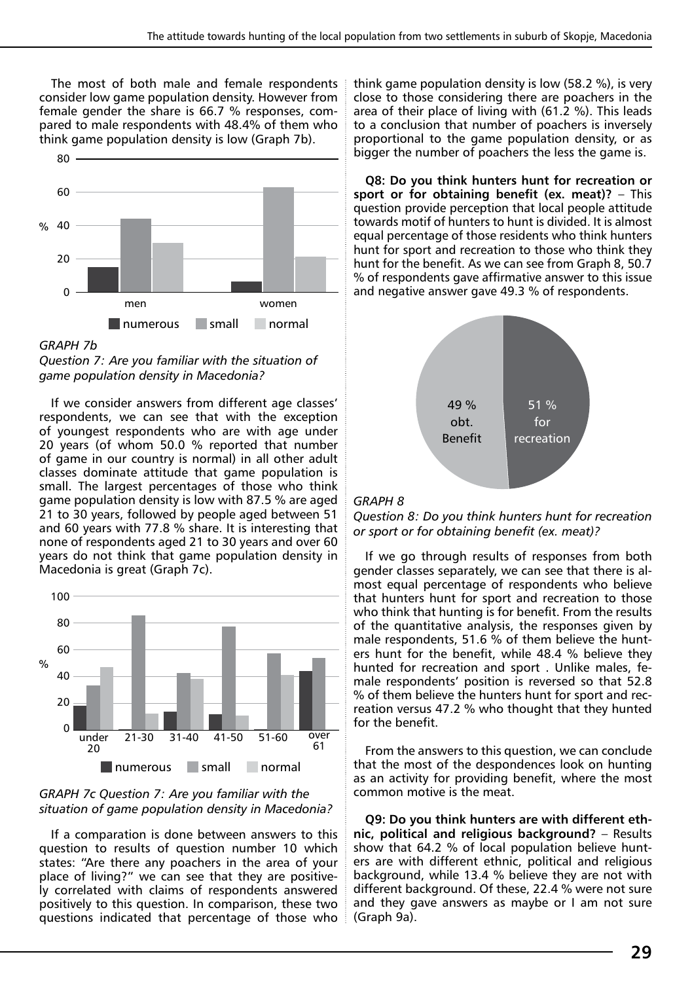The most of both male and female respondents consider low game population density. However from female gender the share is 66.7 % responses, compared to male respondents with 48.4% of them who think game population density is low (Graph 7b).



*GRAPH 7b* 



If we consider answers from different age classes' respondents, we can see that with the exception of youngest respondents who are with age under 20 years (of whom 50.0 % reported that number of game in our country is normal) in all other adult classes dominate attitude that game population is small. The largest percentages of those who think game population density is low with 87.5 % are aged 21 to 30 years, followed by people aged between 51 and 60 years with 77.8 % share. It is interesting that none of respondents aged 21 to 30 years and over 60 years do not think that game population density in Macedonia is great (Graph 7c).



### *GRAPH 7c Question 7: Are you familiar with the situation of game population density in Macedonia?*

If a comparation is done between answers to this question to results of question number 10 which states: "Are there any poachers in the area of your place of living?" we can see that they are positively correlated with claims of respondents answered positively to this question. In comparison, these two questions indicated that percentage of those who think game population density is low (58.2 %), is very close to those considering there are poachers in the area of their place of living with (61.2 %). This leads to a conclusion that number of poachers is inversely proportional to the game population density, or as bigger the number of poachers the less the game is.

**Q8: Do you think hunters hunt for recreation or sport or for obtaining benefit (ex. meat)?** – This question provide perception that local people attitude towards motif of hunters to hunt is divided. It is almost equal percentage of those residents who think hunters hunt for sport and recreation to those who think they hunt for the benefit. As we can see from Graph 8, 50.7 % of respondents gave affirmative answer to this issue and negative answer gave 49.3 % of respondents.



### *GRAPH 8*

*Question 8: Do you think hunters hunt for recreation or sport or for obtaining benefit (ex. meat)?*

If we go through results of responses from both gender classes separately, we can see that there is almost equal percentage of respondents who believe that hunters hunt for sport and recreation to those who think that hunting is for benefit. From the results of the quantitative analysis, the responses given by male respondents, 51.6 % of them believe the hunters hunt for the benefit, while 48.4 % believe they hunted for recreation and sport . Unlike males, female respondents' position is reversed so that 52.8 % of them believe the hunters hunt for sport and recreation versus 47.2 % who thought that they hunted for the benefit.

From the answers to this question, we can conclude that the most of the despondences look on hunting as an activity for providing benefit, where the most common motive is the meat.

**Q9: Do you think hunters are with different ethnic, political and religious background?** – Results show that 64.2 % of local population believe hunters are with different ethnic, political and religious background, while 13.4 % believe they are not with different background. Of these, 22.4 % were not sure and they gave answers as maybe or I am not sure (Graph 9a).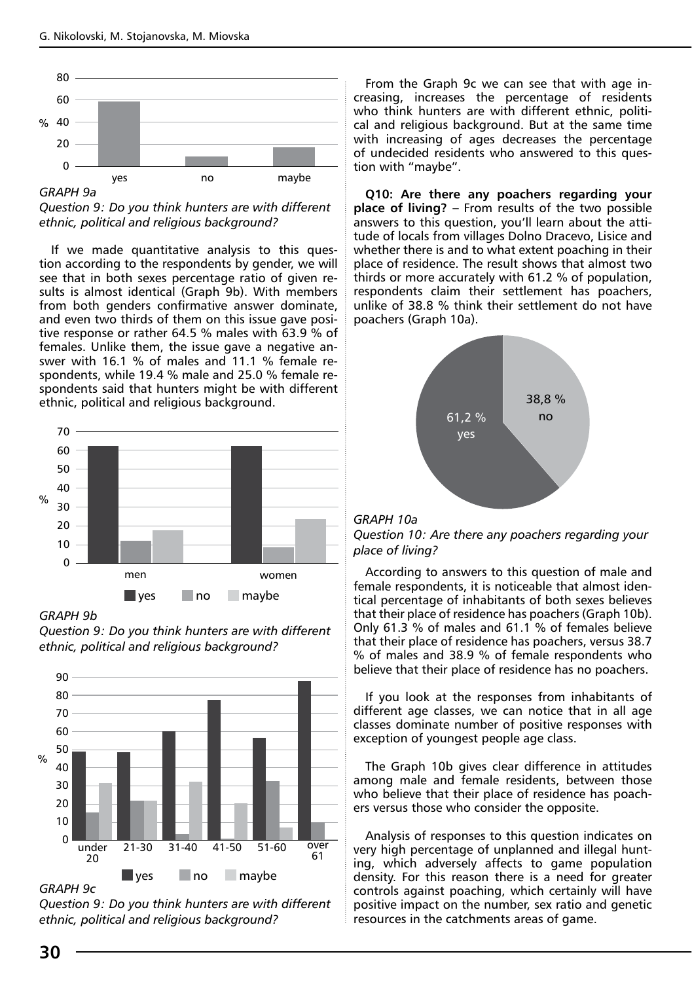

*Question 9: Do you think hunters are with different* 

*ethnic, political and religious background?*

If we made quantitative analysis to this question according to the respondents by gender, we will see that in both sexes percentage ratio of given results is almost identical (Graph 9b). With members from both genders confirmative answer dominate, and even two thirds of them on this issue gave positive response or rather 64.5 % males with 63.9 % of females. Unlike them, the issue gave a negative answer with 16.1 % of males and 11.1 % female respondents, while 19.4 % male and 25.0 % female respondents said that hunters might be with different ethnic, political and religious background.



#### *GRAPH 9b*

*Question 9: Do you think hunters are with different ethnic, political and religious background?*



*GRAPH 9c* 

*Question 9: Do you think hunters are with different ethnic, political and religious background?*

From the Graph 9c we can see that with age increasing, increases the percentage of residents who think hunters are with different ethnic, political and religious background. But at the same time with increasing of ages decreases the percentage of undecided residents who answered to this question with "maybe".

**Q10: Are there any poachers regarding your place of living?** – From results of the two possible answers to this question, you'll learn about the attitude of locals from villages Dolno Dracevo, Lisice and whether there is and to what extent poaching in their place of residence. The result shows that almost two thirds or more accurately with 61.2 % of population, respondents claim their settlement has poachers, unlike of 38.8 % think their settlement do not have poachers (Graph 10a).



#### *GRAPH 10a*



According to answers to this question of male and female respondents, it is noticeable that almost identical percentage of inhabitants of both sexes believes that their place of residence has poachers (Graph 10b). Only 61.3 % of males and 61.1 % of females believe that their place of residence has poachers, versus 38.7 % of males and 38.9 % of female respondents who believe that their place of residence has no poachers.

If you look at the responses from inhabitants of different age classes, we can notice that in all age classes dominate number of positive responses with exception of youngest people age class.

The Graph 10b gives clear difference in attitudes among male and female residents, between those who believe that their place of residence has poachers versus those who consider the opposite.

Analysis of responses to this question indicates on very high percentage of unplanned and illegal hunting, which adversely affects to game population density. For this reason there is a need for greater controls against poaching, which certainly will have positive impact on the number, sex ratio and genetic resources in the catchments areas of game.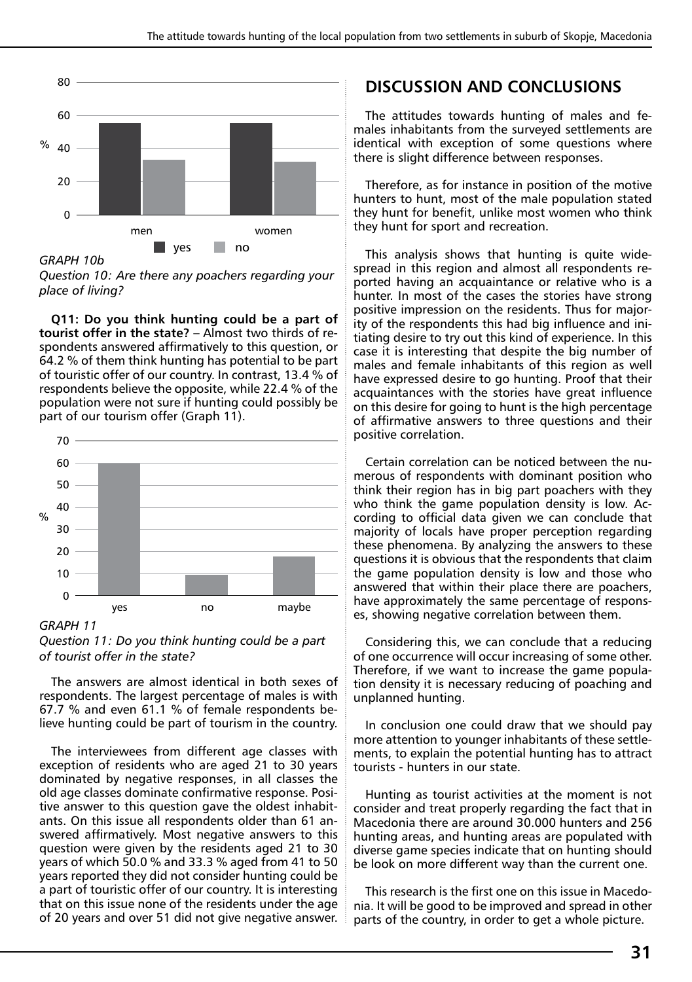

*GRAPH 10b* 

*Question 10: Are there any poachers regarding your place of living?*

**Q11: Do you think hunting could be a part of tourist offer in the state?** – Almost two thirds of respondents answered affirmatively to this question, or 64.2 % of them think hunting has potential to be part of touristic offer of our country. In contrast, 13.4 % of respondents believe the opposite, while 22.4 % of the population were not sure if hunting could possibly be part of our tourism offer (Graph 11).



*GRAPH 11* 

*Question 11: Do you think hunting could be a part of tourist offer in the state?*

The answers are almost identical in both sexes of respondents. The largest percentage of males is with 67.7 % and even 61.1 % of female respondents believe hunting could be part of tourism in the country.

The interviewees from different age classes with exception of residents who are aged 21 to 30 years dominated by negative responses, in all classes the old age classes dominate confirmative response. Positive answer to this question gave the oldest inhabitants. On this issue all respondents older than 61 answered affirmatively. Most negative answers to this question were given by the residents aged 21 to 30 years of which 50.0 % and 33.3 % aged from 41 to 50 years reported they did not consider hunting could be a part of touristic offer of our country. It is interesting that on this issue none of the residents under the age of 20 years and over 51 did not give negative answer.

## **DISCUSSION AND CONCLUSIONS**

The attitudes towards hunting of males and females inhabitants from the surveyed settlements are identical with exception of some questions where there is slight difference between responses.

Therefore, as for instance in position of the motive hunters to hunt, most of the male population stated they hunt for benefit, unlike most women who think they hunt for sport and recreation.

This analysis shows that hunting is quite widespread in this region and almost all respondents reported having an acquaintance or relative who is a hunter. In most of the cases the stories have strong positive impression on the residents. Thus for majority of the respondents this had big influence and initiating desire to try out this kind of experience. In this case it is interesting that despite the big number of males and female inhabitants of this region as well have expressed desire to go hunting. Proof that their acquaintances with the stories have great influence on this desire for going to hunt is the high percentage of affirmative answers to three questions and their positive correlation.

Certain correlation can be noticed between the numerous of respondents with dominant position who think their region has in big part poachers with they who think the game population density is low. According to official data given we can conclude that majority of locals have proper perception regarding these phenomena. By analyzing the answers to these questions it is obvious that the respondents that claim the game population density is low and those who answered that within their place there are poachers, have approximately the same percentage of responses, showing negative correlation between them.

Considering this, we can conclude that a reducing of one occurrence will occur increasing of some other. Therefore, if we want to increase the game population density it is necessary reducing of poaching and unplanned hunting.

In conclusion one could draw that we should pay more attention to younger inhabitants of these settlements, to explain the potential hunting has to attract tourists - hunters in our state.

Hunting as tourist activities at the moment is not consider and treat properly regarding the fact that in Macedonia there are around 30.000 hunters and 256 hunting areas, and hunting areas are populated with diverse game species indicate that on hunting should be look on more different way than the current one.

This research is the first one on this issue in Macedonia. It will be good to be improved and spread in other parts of the country, in order to get a whole picture.